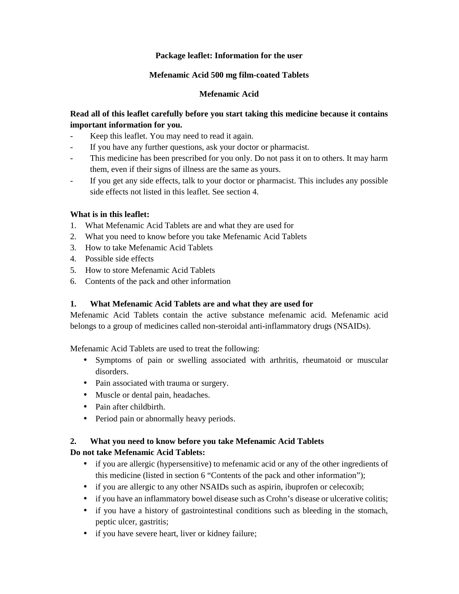## **Package leaflet: Information for the user**

## **Mefenamic Acid 500 mg film-coated Tablets**

## **Mefenamic Acid**

## **Read all of this leaflet carefully before you start taking this medicine because it contains important information for you.**

- Keep this leaflet. You may need to read it again.
- If you have any further questions, ask your doctor or pharmacist.
- This medicine has been prescribed for you only. Do not pass it on to others. It may harm them, even if their signs of illness are the same as yours.
- If you get any side effects, talk to your doctor or pharmacist. This includes any possible side effects not listed in this leaflet. See section 4.

## **What is in this leaflet:**

- 1. What Mefenamic Acid Tablets are and what they are used for
- 2. What you need to know before you take Mefenamic Acid Tablets
- 3. How to take Mefenamic Acid Tablets
- 4. Possible side effects
- 5. How to store Mefenamic Acid Tablets
- 6. Contents of the pack and other information

## **1. What Mefenamic Acid Tablets are and what they are used for**

Mefenamic Acid Tablets contain the active substance mefenamic acid. Mefenamic acid belongs to a group of medicines called non-steroidal anti-inflammatory drugs (NSAIDs).

Mefenamic Acid Tablets are used to treat the following:

- Symptoms of pain or swelling associated with arthritis, rheumatoid or muscular disorders.
- Pain associated with trauma or surgery.
- Muscle or dental pain, headaches.
- Pain after childbirth.
- Period pain or abnormally heavy periods.

## **2. What you need to know before you take Mefenamic Acid Tablets**

## **Do not take Mefenamic Acid Tablets:**

- if you are allergic (hypersensitive) to mefenamic acid or any of the other ingredients of this medicine (listed in section 6 "Contents of the pack and other information");
- if you are allergic to any other NSAIDs such as aspirin, ibuprofen or celecoxib;
- if you have an inflammatory bowel disease such as Crohn's disease or ulcerative colitis;
- if you have a history of gastrointestinal conditions such as bleeding in the stomach, peptic ulcer, gastritis;
- if you have severe heart, liver or kidney failure;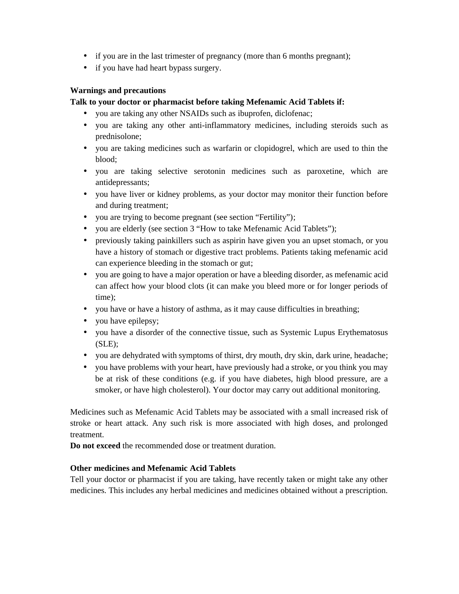- if you are in the last trimester of pregnancy (more than 6 months pregnant);
- if you have had heart bypass surgery.

## **Warnings and precautions**

## **Talk to your doctor or pharmacist before taking Mefenamic Acid Tablets if:**

- you are taking any other NSAIDs such as ibuprofen, diclofenac;
- you are taking any other anti-inflammatory medicines, including steroids such as prednisolone;
- you are taking medicines such as warfarin or clopidogrel, which are used to thin the blood;
- you are taking selective serotonin medicines such as paroxetine, which are antidepressants;
- you have liver or kidney problems, as your doctor may monitor their function before and during treatment;
- you are trying to become pregnant (see section "Fertility");
- you are elderly (see section 3 "How to take Mefenamic Acid Tablets");
- previously taking painkillers such as aspirin have given you an upset stomach, or you have a history of stomach or digestive tract problems. Patients taking mefenamic acid can experience bleeding in the stomach or gut;
- you are going to have a major operation or have a bleeding disorder, as mefenamic acid can affect how your blood clots (it can make you bleed more or for longer periods of time);
- you have or have a history of asthma, as it may cause difficulties in breathing;
- you have epilepsy;
- you have a disorder of the connective tissue, such as Systemic Lupus Erythematosus  $(SLE)$ ;
- you are dehydrated with symptoms of thirst, dry mouth, dry skin, dark urine, headache;
- you have problems with your heart, have previously had a stroke, or you think you may be at risk of these conditions (e.g. if you have diabetes, high blood pressure, are a smoker, or have high cholesterol). Your doctor may carry out additional monitoring.

Medicines such as Mefenamic Acid Tablets may be associated with a small increased risk of stroke or heart attack. Any such risk is more associated with high doses, and prolonged treatment.

**Do not exceed** the recommended dose or treatment duration.

## **Other medicines and Mefenamic Acid Tablets**

Tell your doctor or pharmacist if you are taking, have recently taken or might take any other medicines. This includes any herbal medicines and medicines obtained without a prescription.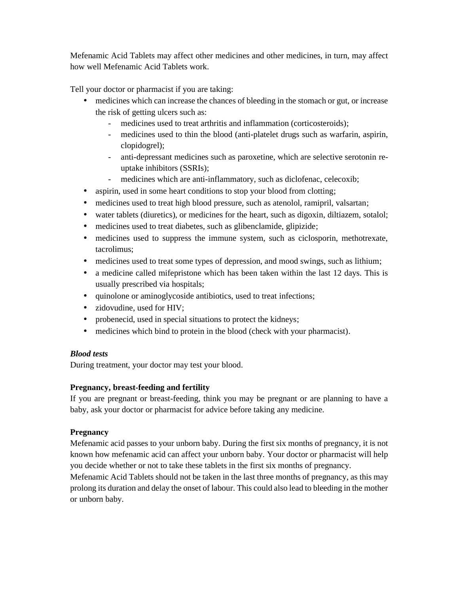Mefenamic Acid Tablets may affect other medicines and other medicines, in turn, may affect how well Mefenamic Acid Tablets work.

Tell your doctor or pharmacist if you are taking:

- medicines which can increase the chances of bleeding in the stomach or gut, or increase the risk of getting ulcers such as:
	- medicines used to treat arthritis and inflammation (corticosteroids);
	- medicines used to thin the blood (anti-platelet drugs such as warfarin, aspirin, clopidogrel);
	- anti-depressant medicines such as paroxetine, which are selective serotonin re uptake inhibitors (SSRIs);
	- medicines which are anti-inflammatory, such as diclofenac, celecoxib;
- aspirin, used in some heart conditions to stop your blood from clotting;
- medicines used to treat high blood pressure, such as atenolol, ramipril, valsartan;
- water tablets (diuretics), or medicines for the heart, such as digoxin, diltiazem, sotalol;
- medicines used to treat diabetes, such as glibenclamide, glipizide;
- medicines used to suppress the immune system, such as ciclosporin, methotrexate, tacrolimus;
- medicines used to treat some types of depression, and mood swings, such as lithium;
- a medicine called mifepristone which has been taken within the last 12 days. This is usually prescribed via hospitals;
- quinolone or aminoglycoside antibiotics, used to treat infections;
- zidovudine, used for HIV;
- probenecid, used in special situations to protect the kidneys;
- medicines which bind to protein in the blood (check with your pharmacist).

## *Blood tests*

During treatment, your doctor may test your blood.

## **Pregnancy, breast-feeding and fertility**

If you are pregnant or breast-feeding, think you may be pregnant or are planning to have a baby, ask your doctor or pharmacist for advice before taking any medicine.

## **Pregnancy**

Mefenamic acid passes to your unborn baby. During the first six months of pregnancy, it is not known how mefenamic acid can affect your unborn baby. Your doctor or pharmacist will help you decide whether or not to take these tablets in the first six months of pregnancy.

Mefenamic Acid Tablets should not be taken in the last three months of pregnancy, as this may prolong its duration and delay the onset of labour. This could also lead to bleeding in the mother or unborn baby.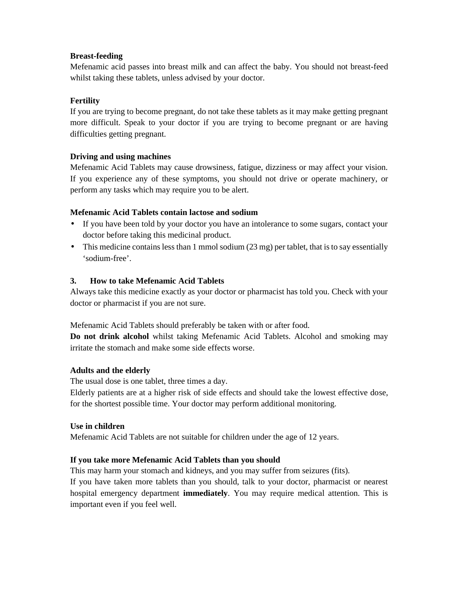## **Breast-feeding**

Mefenamic acid passes into breast milk and can affect the baby. You should not breast-feed whilst taking these tablets, unless advised by your doctor.

## **Fertility**

If you are trying to become pregnant, do not take these tablets as it may make getting pregnant more difficult. Speak to your doctor if you are trying to become pregnant or are having difficulties getting pregnant.

## **Driving and using machines**

Mefenamic Acid Tablets may cause drowsiness, fatigue, dizziness or may affect your vision. If you experience any of these symptoms, you should not drive or operate machinery, or perform any tasks which may require you to be alert.

#### **Mefenamic Acid Tablets contain lactose and sodium**

- If you have been told by your doctor you have an intolerance to some sugars, contact your doctor before taking this medicinal product.
- This medicine contains less than 1 mmol sodium (23 mg) per tablet, that is to say essentially 'sodium-free'.

#### **3. How to take Mefenamic Acid Tablets**

Always take this medicine exactly as your doctor or pharmacist has told you. Check with your doctor or pharmacist if you are not sure.

Mefenamic Acid Tablets should preferably be taken with or after food.

**Do not drink alcohol** whilst taking Mefenamic Acid Tablets. Alcohol and smoking may irritate the stomach and make some side effects worse.

#### **Adults and the elderly**

The usual dose is one tablet, three times a day.

Elderly patients are at a higher risk of side effects and should take the lowest effective dose, for the shortest possible time. Your doctor may perform additional monitoring.

#### **Use in children**

Mefenamic Acid Tablets are not suitable for children under the age of 12 years.

#### **If you take more Mefenamic Acid Tablets than you should**

This may harm your stomach and kidneys, and you may suffer from seizures (fits).

If you have taken more tablets than you should, talk to your doctor, pharmacist or nearest hospital emergency department **immediately**. You may require medical attention. This is important even if you feel well.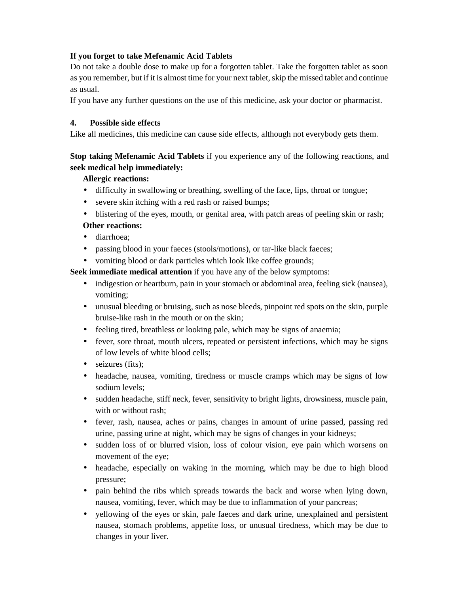## **If you forget to take Mefenamic Acid Tablets**

Do not take a double dose to make up for a forgotten tablet. Take the forgotten tablet as soon as you remember, but if it is almost time for your next tablet, skip the missed tablet and continue as usual.

If you have any further questions on the use of this medicine, ask your doctor or pharmacist.

## **4. Possible side effects**

Like all medicines, this medicine can cause side effects, although not everybody gets them.

## **Stop taking Mefenamic Acid Tablets** if you experience any of the following reactions, and **seek medical help immediately:**

## **Allergic reactions:**

- difficulty in swallowing or breathing, swelling of the face, lips, throat or tongue;
- severe skin itching with a red rash or raised bumps;
- blistering of the eyes, mouth, or genital area, with patch areas of peeling skin or rash; **Other reactions:**
- diarrhoea:
- passing blood in your faeces (stools/motions), or tar-like black faeces;
- vomiting blood or dark particles which look like coffee grounds;

**Seek immediate medical attention** if you have any of the below symptoms:

- indigestion or heartburn, pain in your stomach or abdominal area, feeling sick (nausea), vomiting;
- unusual bleeding or bruising, such as nose bleeds, pinpoint red spots on the skin, purple bruise-like rash in the mouth or on the skin;
- feeling tired, breathless or looking pale, which may be signs of anaemia;
- fever, sore throat, mouth ulcers, repeated or persistent infections, which may be signs of low levels of white blood cells;
- $\bullet$  seizures (fits);
- headache, nausea, vomiting, tiredness or muscle cramps which may be signs of low sodium levels;
- sudden headache, stiff neck, fever, sensitivity to bright lights, drowsiness, muscle pain, with or without rash:
- fever, rash, nausea, aches or pains, changes in amount of urine passed, passing red urine, passing urine at night, which may be signs of changes in your kidneys;
- sudden loss of or blurred vision, loss of colour vision, eye pain which worsens on movement of the eye;
- headache, especially on waking in the morning, which may be due to high blood pressure;
- pain behind the ribs which spreads towards the back and worse when lying down, nausea, vomiting, fever, which may be due to inflammation of your pancreas;
- vellowing of the eyes or skin, pale faeces and dark urine, unexplained and persistent nausea, stomach problems, appetite loss, or unusual tiredness, which may be due to changes in your liver.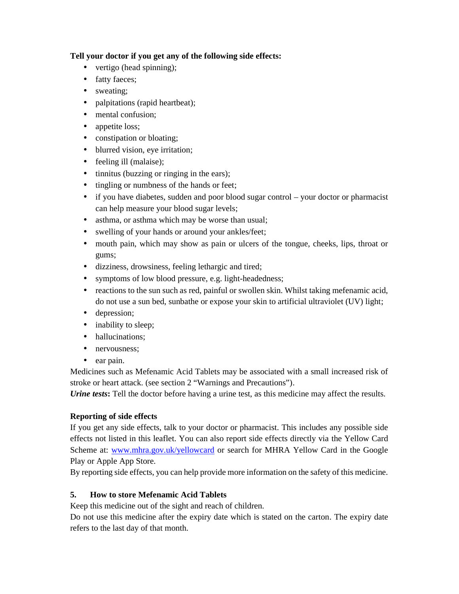## **Tell your doctor if you get any of the following side effects:**

- vertigo (head spinning);
- fatty faeces;
- sweating;
- palpitations (rapid heartbeat);
- mental confusion;
- appetite loss;
- constipation or bloating;
- blurred vision, eye irritation;
- feeling ill (malaise);
- $\bullet$  tinnitus (buzzing or ringing in the ears);
- tingling or numbness of the hands or feet;
- if you have diabetes, sudden and poor blood sugar control your doctor or pharmacist can help measure your blood sugar levels;
- asthma, or asthma which may be worse than usual;
- swelling of your hands or around your ankles/feet;
- mouth pain, which may show as pain or ulcers of the tongue, cheeks, lips, throat or gums;
- dizziness, drowsiness, feeling lethargic and tired;
- symptoms of low blood pressure, e.g. light-headedness;
- reactions to the sun such as red, painful or swollen skin. Whilst taking mefenamic acid, do not use a sun bed, sunbathe or expose your skin to artificial ultraviolet (UV) light;
- depression;
- inability to sleep;
- hallucinations;
- nervousness:
- ear pain.

Medicines such as Mefenamic Acid Tablets may be associated with a small increased risk of stroke or heart attack. (see section 2 "Warnings and Precautions").

*Urine tests***:** Tell the doctor before having a urine test, as this medicine may affect the results.

## **Reporting of side effects**

If you get any side effects, talk to your doctor or pharmacist. This includes any possible side effects not listed in this leaflet. You can also report side effects directly via the Yellow Card Scheme at: www.mhra.gov.uk/yellowcard or search for MHRA Yellow Card in the Google Play or Apple App Store.

By reporting side effects, you can help provide more information on the safety of this medicine.

## **5. How to store Mefenamic Acid Tablets**

Keep this medicine out of the sight and reach of children.

Do not use this medicine after the expiry date which is stated on the carton. The expiry date refers to the last day of that month.